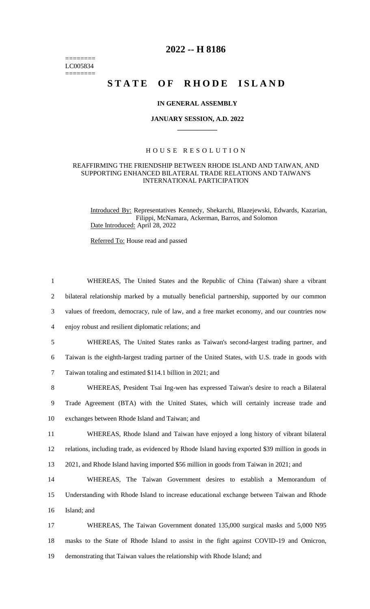$=$ LC005834  $=$ 

# **2022 -- H 8186**

# **STATE OF RHODE ISLAND**

### **IN GENERAL ASSEMBLY**

### **JANUARY SESSION, A.D. 2022 \_\_\_\_\_\_\_\_\_\_\_\_**

## H O U S E R E S O L U T I O N

## REAFFIRMING THE FRIENDSHIP BETWEEN RHODE ISLAND AND TAIWAN, AND SUPPORTING ENHANCED BILATERAL TRADE RELATIONS AND TAIWAN'S INTERNATIONAL PARTICIPATION

Introduced By: Representatives Kennedy, Shekarchi, Blazejewski, Edwards, Kazarian, Filippi, McNamara, Ackerman, Barros, and Solomon Date Introduced: April 28, 2022

Referred To: House read and passed

| $\mathbf{1}$   | WHEREAS, The United States and the Republic of China (Taiwan) share a vibrant                     |
|----------------|---------------------------------------------------------------------------------------------------|
| $\overline{2}$ | bilateral relationship marked by a mutually beneficial partnership, supported by our common       |
| 3              | values of freedom, democracy, rule of law, and a free market economy, and our countries now       |
| $\overline{4}$ | enjoy robust and resilient diplomatic relations; and                                              |
| 5              | WHEREAS, The United States ranks as Taiwan's second-largest trading partner, and                  |
| 6              | Taiwan is the eighth-largest trading partner of the United States, with U.S. trade in goods with  |
| $\tau$         | Taiwan totaling and estimated \$114.1 billion in 2021; and                                        |
| 8              | WHEREAS, President Tsai Ing-wen has expressed Taiwan's desire to reach a Bilateral                |
| 9              | Trade Agreement (BTA) with the United States, which will certainly increase trade and             |
| 10             | exchanges between Rhode Island and Taiwan; and                                                    |
| 11             | WHEREAS, Rhode Island and Taiwan have enjoyed a long history of vibrant bilateral                 |
| 12             | relations, including trade, as evidenced by Rhode Island having exported \$39 million in goods in |
| 13             | 2021, and Rhode Island having imported \$56 million in goods from Taiwan in 2021; and             |
| 14             | WHEREAS, The Taiwan Government desires to establish a Memorandum of                               |
| 15             | Understanding with Rhode Island to increase educational exchange between Taiwan and Rhode         |
| 16             | Island; and                                                                                       |
| 17             | WHEREAS, The Taiwan Government donated 135,000 surgical masks and 5,000 N95                       |
| 18             | masks to the State of Rhode Island to assist in the fight against COVID-19 and Omicron,           |
| 19             | demonstrating that Taiwan values the relationship with Rhode Island; and                          |